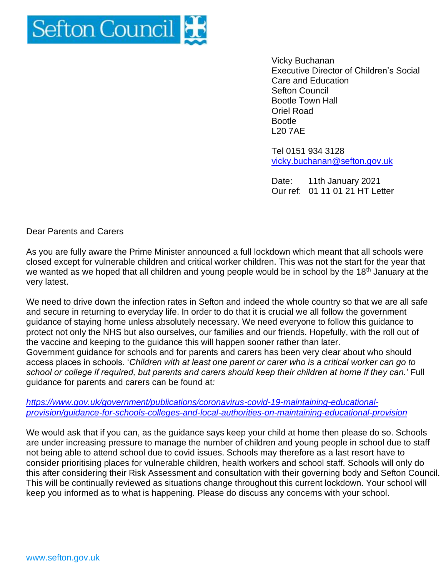

Vicky Buchanan Executive Director of Children's Social Care and Education Sefton Council Bootle Town Hall Oriel Road Bootle L20 7AE

Tel 0151 934 3128 [vicky.buchanan@sefton.gov.uk](mailto:vicky.buchanan@sefton.gov.uk)

Date: 11th January 2021 Our ref: 01 11 01 21 HT Letter

Dear Parents and Carers

As you are fully aware the Prime Minister announced a full lockdown which meant that all schools were closed except for vulnerable children and critical worker children. This was not the start for the year that we wanted as we hoped that all children and young people would be in school by the 18<sup>th</sup> January at the very latest.

We need to drive down the infection rates in Sefton and indeed the whole country so that we are all safe and secure in returning to everyday life. In order to do that it is crucial we all follow the government guidance of staying home unless absolutely necessary. We need everyone to follow this guidance to protect not only the NHS but also ourselves, our families and our friends. Hopefully, with the roll out of the vaccine and keeping to the guidance this will happen sooner rather than later. Government guidance for schools and for parents and carers has been very clear about who should access places in schools. '*Children with at least one parent or carer who is a critical worker can go to school or college if required, but parents and carers should keep their children at home if they can.'* Full guidance for parents and carers can be found at*:*

*[https://www.gov.uk/government/publications/coronavirus-covid-19-maintaining-educational](https://www.gov.uk/government/publications/coronavirus-covid-19-maintaining-educational-provision/guidance-for-schools-colleges-and-local-authorities-on-maintaining-educational-provision)[provision/guidance-for-schools-colleges-and-local-authorities-on-maintaining-educational-provision](https://www.gov.uk/government/publications/coronavirus-covid-19-maintaining-educational-provision/guidance-for-schools-colleges-and-local-authorities-on-maintaining-educational-provision)*

We would ask that if you can, as the guidance says keep your child at home then please do so. Schools are under increasing pressure to manage the number of children and young people in school due to staff not being able to attend school due to covid issues. Schools may therefore as a last resort have to consider prioritising places for vulnerable children, health workers and school staff. Schools will only do this after considering their Risk Assessment and consultation with their governing body and Sefton Council. This will be continually reviewed as situations change throughout this current lockdown. Your school will keep you informed as to what is happening. Please do discuss any concerns with your school.